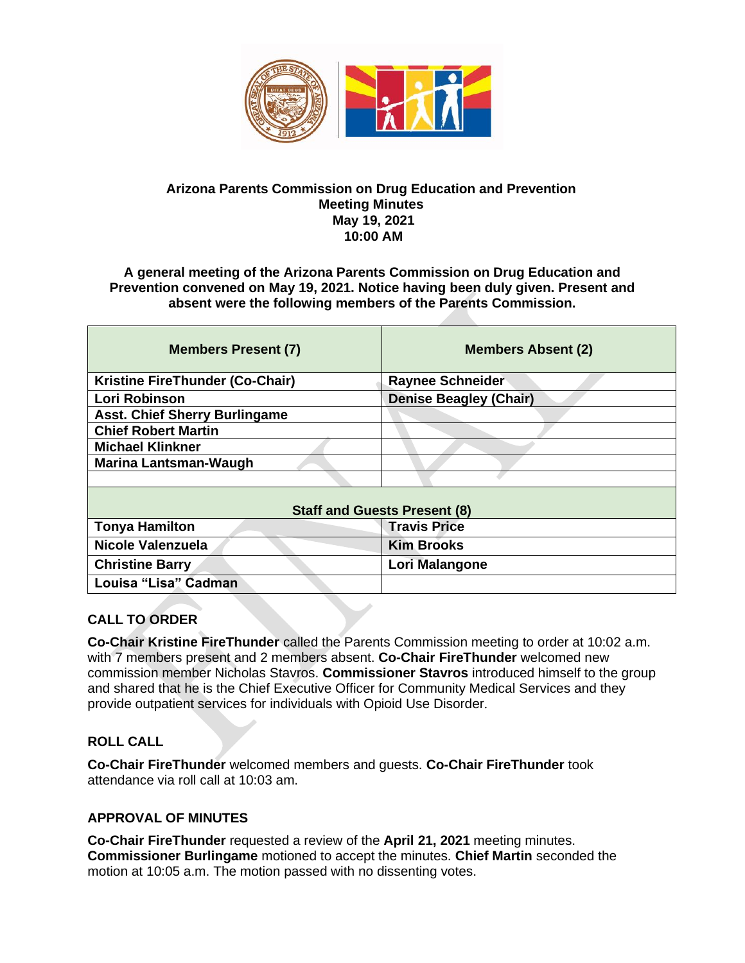

#### **Arizona Parents Commission on Drug Education and Prevention Meeting Minutes May 19, 2021 10:00 AM**

**A general meeting of the Arizona Parents Commission on Drug Education and Prevention convened on May 19, 2021. Notice having been duly given. Present and absent were the following members of the Parents Commission.** 

| <b>Members Present (7)</b>           | <b>Members Absent (2)</b>     |
|--------------------------------------|-------------------------------|
| Kristine FireThunder (Co-Chair)      | <b>Raynee Schneider</b>       |
| Lori Robinson                        | <b>Denise Beagley (Chair)</b> |
| <b>Asst. Chief Sherry Burlingame</b> |                               |
| <b>Chief Robert Martin</b>           |                               |
| <b>Michael Klinkner</b>              |                               |
| <b>Marina Lantsman-Waugh</b>         |                               |
|                                      |                               |
| <b>Staff and Guests Present (8)</b>  |                               |
| <b>Tonya Hamilton</b>                | <b>Travis Price</b>           |
| Nicole Valenzuela                    | <b>Kim Brooks</b>             |
| <b>Christine Barry</b>               | Lori Malangone                |
| Louisa "Lisa" Cadman                 |                               |

### **CALL TO ORDER**

**Co-Chair Kristine FireThunder** called the Parents Commission meeting to order at 10:02 a.m. with 7 members present and 2 members absent. **Co-Chair FireThunder** welcomed new commission member Nicholas Stavros. **Commissioner Stavros** introduced himself to the group and shared that he is the Chief Executive Officer for Community Medical Services and they provide outpatient services for individuals with Opioid Use Disorder.

### **ROLL CALL**

**Co-Chair FireThunder** welcomed members and guests. **Co-Chair FireThunder** took attendance via roll call at 10:03 am.

#### **APPROVAL OF MINUTES**

**Co-Chair FireThunder** requested a review of the **April 21, 2021** meeting minutes. **Commissioner Burlingame** motioned to accept the minutes. **Chief Martin** seconded the motion at 10:05 a.m. The motion passed with no dissenting votes.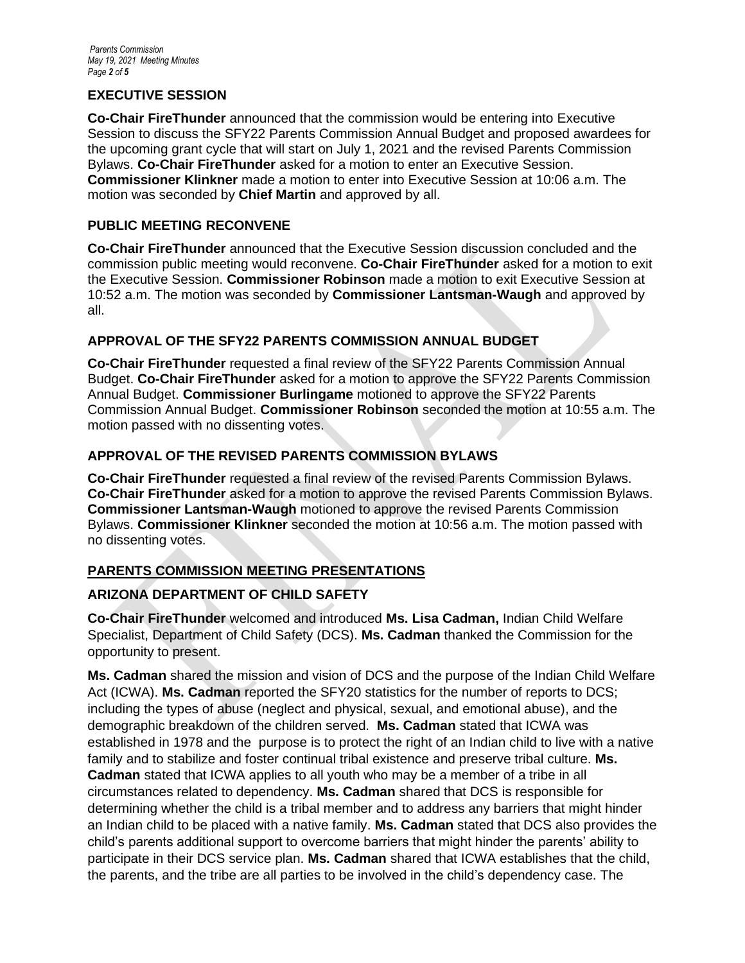#### **EXECUTIVE SESSION**

**Co-Chair FireThunder** announced that the commission would be entering into Executive Session to discuss the SFY22 Parents Commission Annual Budget and proposed awardees for the upcoming grant cycle that will start on July 1, 2021 and the revised Parents Commission Bylaws. **Co-Chair FireThunder** asked for a motion to enter an Executive Session. **Commissioner Klinkner** made a motion to enter into Executive Session at 10:06 a.m. The motion was seconded by **Chief Martin** and approved by all.

#### **PUBLIC MEETING RECONVENE**

**Co-Chair FireThunder** announced that the Executive Session discussion concluded and the commission public meeting would reconvene. **Co-Chair FireThunder** asked for a motion to exit the Executive Session. **Commissioner Robinson** made a motion to exit Executive Session at 10:52 a.m. The motion was seconded by **Commissioner Lantsman-Waugh** and approved by all.

#### **APPROVAL OF THE SFY22 PARENTS COMMISSION ANNUAL BUDGET**

**Co-Chair FireThunder** requested a final review of the SFY22 Parents Commission Annual Budget. **Co-Chair FireThunder** asked for a motion to approve the SFY22 Parents Commission Annual Budget. **Commissioner Burlingame** motioned to approve the SFY22 Parents Commission Annual Budget. **Commissioner Robinson** seconded the motion at 10:55 a.m. The motion passed with no dissenting votes.

#### **APPROVAL OF THE REVISED PARENTS COMMISSION BYLAWS**

**Co-Chair FireThunder** requested a final review of the revised Parents Commission Bylaws. **Co-Chair FireThunder** asked for a motion to approve the revised Parents Commission Bylaws. **Commissioner Lantsman-Waugh** motioned to approve the revised Parents Commission Bylaws. **Commissioner Klinkner** seconded the motion at 10:56 a.m. The motion passed with no dissenting votes.

#### **PARENTS COMMISSION MEETING PRESENTATIONS**

#### **ARIZONA DEPARTMENT OF CHILD SAFETY**

**Co-Chair FireThunder** welcomed and introduced **Ms. Lisa Cadman,** Indian Child Welfare Specialist, Department of Child Safety (DCS). **Ms. Cadman** thanked the Commission for the opportunity to present.

**Ms. Cadman** shared the mission and vision of DCS and the purpose of the Indian Child Welfare Act (ICWA). **Ms. Cadman** reported the SFY20 statistics for the number of reports to DCS; including the types of abuse (neglect and physical, sexual, and emotional abuse), and the demographic breakdown of the children served. **Ms. Cadman** stated that ICWA was established in 1978 and the purpose is to protect the right of an Indian child to live with a native family and to stabilize and foster continual tribal existence and preserve tribal culture. **Ms. Cadman** stated that ICWA applies to all youth who may be a member of a tribe in all circumstances related to dependency. **Ms. Cadman** shared that DCS is responsible for determining whether the child is a tribal member and to address any barriers that might hinder an Indian child to be placed with a native family. **Ms. Cadman** stated that DCS also provides the child's parents additional support to overcome barriers that might hinder the parents' ability to participate in their DCS service plan. **Ms. Cadman** shared that ICWA establishes that the child, the parents, and the tribe are all parties to be involved in the child's dependency case. The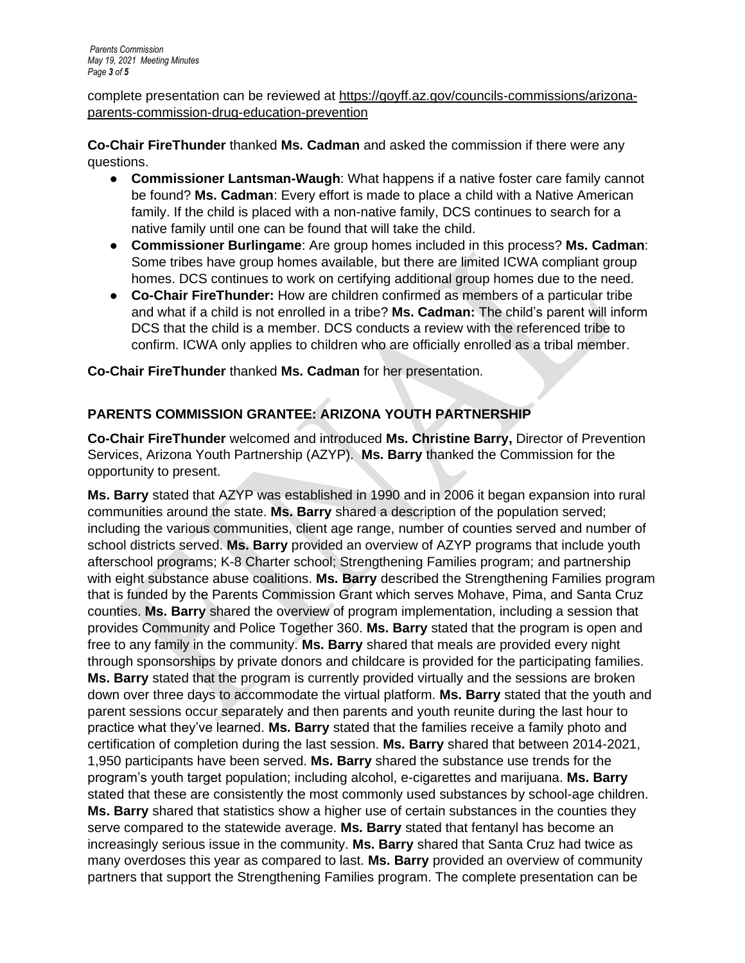complete presentation can be reviewed at [https://goyff.az.gov/councils-commissions/arizona](https://goyff.az.gov/councils-commissions/arizona-parents-commission-drug-education-prevention)[parents-commission-drug-education-prevention](https://goyff.az.gov/councils-commissions/arizona-parents-commission-drug-education-prevention)

**Co-Chair FireThunder** thanked **Ms. Cadman** and asked the commission if there were any questions.

- **Commissioner Lantsman-Waugh**: What happens if a native foster care family cannot be found? **Ms. Cadman**: Every effort is made to place a child with a Native American family. If the child is placed with a non-native family, DCS continues to search for a native family until one can be found that will take the child.
- **Commissioner Burlingame**: Are group homes included in this process? **Ms. Cadman**: Some tribes have group homes available, but there are limited ICWA compliant group homes. DCS continues to work on certifying additional group homes due to the need.
- **Co-Chair FireThunder:** How are children confirmed as members of a particular tribe and what if a child is not enrolled in a tribe? **Ms. Cadman:** The child's parent will inform DCS that the child is a member. DCS conducts a review with the referenced tribe to confirm. ICWA only applies to children who are officially enrolled as a tribal member.

**Co-Chair FireThunder** thanked **Ms. Cadman** for her presentation.

# **PARENTS COMMISSION GRANTEE: ARIZONA YOUTH PARTNERSHIP**

**Co-Chair FireThunder** welcomed and introduced **Ms. Christine Barry,** Director of Prevention Services, Arizona Youth Partnership (AZYP). **Ms. Barry** thanked the Commission for the opportunity to present.

**Ms. Barry** stated that AZYP was established in 1990 and in 2006 it began expansion into rural communities around the state. **Ms. Barry** shared a description of the population served; including the various communities, client age range, number of counties served and number of school districts served. **Ms. Barry** provided an overview of AZYP programs that include youth afterschool programs; K-8 Charter school; Strengthening Families program; and partnership with eight substance abuse coalitions. **Ms. Barry** described the Strengthening Families program that is funded by the Parents Commission Grant which serves Mohave, Pima, and Santa Cruz counties. **Ms. Barry** shared the overview of program implementation, including a session that provides Community and Police Together 360. **Ms. Barry** stated that the program is open and free to any family in the community. **Ms. Barry** shared that meals are provided every night through sponsorships by private donors and childcare is provided for the participating families. **Ms. Barry** stated that the program is currently provided virtually and the sessions are broken down over three days to accommodate the virtual platform. **Ms. Barry** stated that the youth and parent sessions occur separately and then parents and youth reunite during the last hour to practice what they've learned. **Ms. Barry** stated that the families receive a family photo and certification of completion during the last session. **Ms. Barry** shared that between 2014-2021, 1,950 participants have been served. **Ms. Barry** shared the substance use trends for the program's youth target population; including alcohol, e-cigarettes and marijuana. **Ms. Barry** stated that these are consistently the most commonly used substances by school-age children. **Ms. Barry** shared that statistics show a higher use of certain substances in the counties they serve compared to the statewide average. **Ms. Barry** stated that fentanyl has become an increasingly serious issue in the community. **Ms. Barry** shared that Santa Cruz had twice as many overdoses this year as compared to last. **Ms. Barry** provided an overview of community partners that support the Strengthening Families program. The complete presentation can be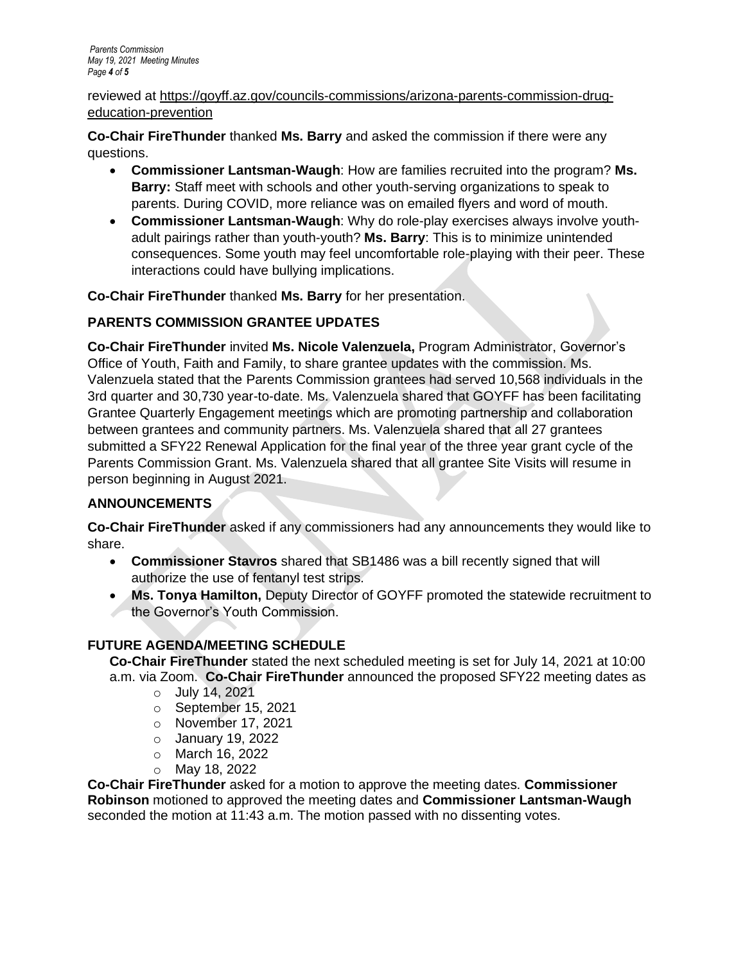#### reviewed at [https://goyff.az.gov/councils-commissions/arizona-parents-commission-drug](https://goyff.az.gov/councils-commissions/arizona-parents-commission-drug-education-prevention)[education-prevention](https://goyff.az.gov/councils-commissions/arizona-parents-commission-drug-education-prevention)

**Co-Chair FireThunder** thanked **Ms. Barry** and asked the commission if there were any questions.

- **Commissioner Lantsman-Waugh**: How are families recruited into the program? **Ms. Barry:** Staff meet with schools and other youth-serving organizations to speak to parents. During COVID, more reliance was on emailed flyers and word of mouth.
- **Commissioner Lantsman-Waugh**: Why do role-play exercises always involve youthadult pairings rather than youth-youth? **Ms. Barry**: This is to minimize unintended consequences. Some youth may feel uncomfortable role-playing with their peer. These interactions could have bullying implications.

**Co-Chair FireThunder** thanked **Ms. Barry** for her presentation.

## **PARENTS COMMISSION GRANTEE UPDATES**

**Co-Chair FireThunder** invited **Ms. Nicole Valenzuela,** Program Administrator, Governor's Office of Youth, Faith and Family, to share grantee updates with the commission. Ms. Valenzuela stated that the Parents Commission grantees had served 10,568 individuals in the 3rd quarter and 30,730 year-to-date. Ms. Valenzuela shared that GOYFF has been facilitating Grantee Quarterly Engagement meetings which are promoting partnership and collaboration between grantees and community partners. Ms. Valenzuela shared that all 27 grantees submitted a SFY22 Renewal Application for the final year of the three year grant cycle of the Parents Commission Grant. Ms. Valenzuela shared that all grantee Site Visits will resume in person beginning in August 2021.

## **ANNOUNCEMENTS**

**Co-Chair FireThunder** asked if any commissioners had any announcements they would like to share.

- **Commissioner Stavros** shared that SB1486 was a bill recently signed that will authorize the use of fentanyl test strips.
- **Ms. Tonya Hamilton,** Deputy Director of GOYFF promoted the statewide recruitment to the Governor's Youth Commission.

## **FUTURE AGENDA/MEETING SCHEDULE**

**Co-Chair FireThunder** stated the next scheduled meeting is set for July 14, 2021 at 10:00 a.m. via Zoom. **Co-Chair FireThunder** announced the proposed SFY22 meeting dates as

- o July 14, 2021
- o September 15, 2021
- o November 17, 2021
- o January 19, 2022
- o March 16, 2022
- o May 18, 2022

**Co-Chair FireThunder** asked for a motion to approve the meeting dates. **Commissioner Robinson** motioned to approved the meeting dates and **Commissioner Lantsman-Waugh**  seconded the motion at 11:43 a.m. The motion passed with no dissenting votes.